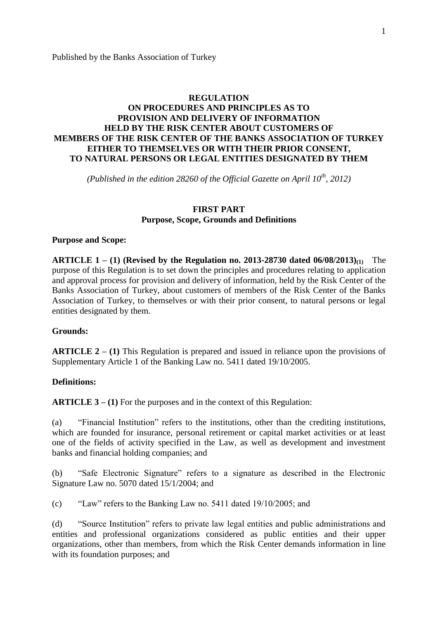# **REGULATION ON PROCEDURES AND PRINCIPLES AS TO PROVISION AND DELIVERY OF INFORMATION HELD BY THE RISK CENTER ABOUT CUSTOMERS OF MEMBERS OF THE RISK CENTER OF THE BANKS ASSOCIATION OF TURKEY EITHER TO THEMSELVES OR WITH THEIR PRIOR CONSENT, TO NATURAL PERSONS OR LEGAL ENTITIES DESIGNATED BY THEM**

*(Published in the edition 28260 of the Official Gazette on April 10th, 2012)*

### **FIRST PART Purpose, Scope, Grounds and Definitions**

#### **Purpose and Scope:**

**ARTICLE 1 – (1) (Revised by the Regulation no. 2013-28730 dated 06/08/2013)(1)** The purpose of this Regulation is to set down the principles and procedures relating to application and approval process for provision and delivery of information, held by the Risk Center of the Banks Association of Turkey, about customers of members of the Risk Center of the Banks Association of Turkey, to themselves or with their prior consent, to natural persons or legal entities designated by them.

#### **Grounds:**

**ARTICLE 2 – (1)** This Regulation is prepared and issued in reliance upon the provisions of Supplementary Article 1 of the Banking Law no. 5411 dated 19/10/2005.

#### **Definitions:**

**ARTICLE 3 – (1)** For the purposes and in the context of this Regulation:

(a) "Financial Institution" refers to the institutions, other than the crediting institutions, which are founded for insurance, personal retirement or capital market activities or at least one of the fields of activity specified in the Law, as well as development and investment banks and financial holding companies; and

(b) "Safe Electronic Signature" refers to a signature as described in the Electronic Signature Law no. 5070 dated 15/1/2004; and

(c) "Law" refers to the Banking Law no. 5411 dated 19/10/2005; and

(d) "Source Institution" refers to private law legal entities and public administrations and entities and professional organizations considered as public entities and their upper organizations, other than members, from which the Risk Center demands information in line with its foundation purposes; and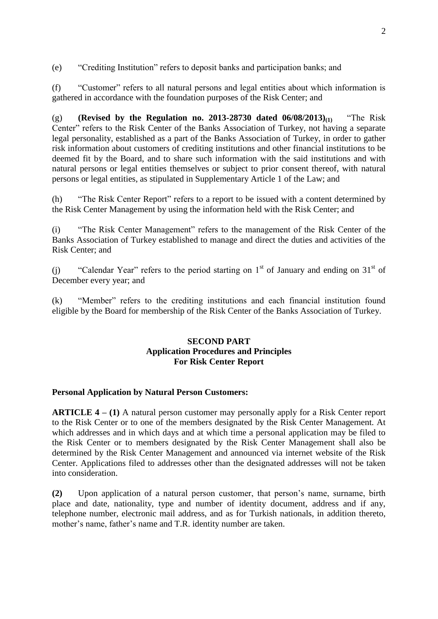(e) "Crediting Institution" refers to deposit banks and participation banks; and

(f) "Customer" refers to all natural persons and legal entities about which information is gathered in accordance with the foundation purposes of the Risk Center; and

(g) **(Revised by the Regulation no. 2013-28730 dated 06/08/2013)(1)** "The Risk Center" refers to the Risk Center of the Banks Association of Turkey, not having a separate legal personality, established as a part of the Banks Association of Turkey, in order to gather risk information about customers of crediting institutions and other financial institutions to be deemed fit by the Board, and to share such information with the said institutions and with natural persons or legal entities themselves or subject to prior consent thereof, with natural persons or legal entities, as stipulated in Supplementary Article 1 of the Law; and

(h) "The Risk Center Report" refers to a report to be issued with a content determined by the Risk Center Management by using the information held with the Risk Center; and

(i) "The Risk Center Management" refers to the management of the Risk Center of the Banks Association of Turkey established to manage and direct the duties and activities of the Risk Center; and

(i) "Calendar Year" refers to the period starting on  $1<sup>st</sup>$  of January and ending on  $31<sup>st</sup>$  of December every year; and

(k) "Member" refers to the crediting institutions and each financial institution found eligible by the Board for membership of the Risk Center of the Banks Association of Turkey.

### **SECOND PART Application Procedures and Principles For Risk Center Report**

### **Personal Application by Natural Person Customers:**

**ARTICLE 4 – (1)** A natural person customer may personally apply for a Risk Center report to the Risk Center or to one of the members designated by the Risk Center Management. At which addresses and in which days and at which time a personal application may be filed to the Risk Center or to members designated by the Risk Center Management shall also be determined by the Risk Center Management and announced via internet website of the Risk Center. Applications filed to addresses other than the designated addresses will not be taken into consideration.

**(2)** Upon application of a natural person customer, that person's name, surname, birth place and date, nationality, type and number of identity document, address and if any, telephone number, electronic mail address, and as for Turkish nationals, in addition thereto, mother's name, father's name and T.R. identity number are taken.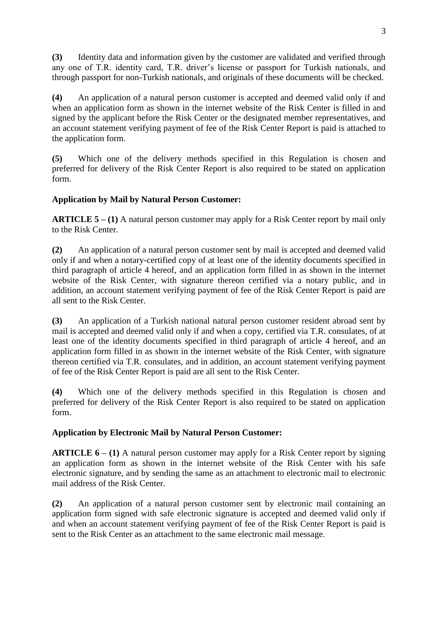**(3)** Identity data and information given by the customer are validated and verified through any one of T.R. identity card, T.R. driver's license or passport for Turkish nationals, and through passport for non-Turkish nationals, and originals of these documents will be checked.

**(4)** An application of a natural person customer is accepted and deemed valid only if and when an application form as shown in the internet website of the Risk Center is filled in and signed by the applicant before the Risk Center or the designated member representatives, and an account statement verifying payment of fee of the Risk Center Report is paid is attached to the application form.

**(5)** Which one of the delivery methods specified in this Regulation is chosen and preferred for delivery of the Risk Center Report is also required to be stated on application form.

# **Application by Mail by Natural Person Customer:**

**ARTICLE 5 – (1)** A natural person customer may apply for a Risk Center report by mail only to the Risk Center.

**(2)** An application of a natural person customer sent by mail is accepted and deemed valid only if and when a notary-certified copy of at least one of the identity documents specified in third paragraph of article 4 hereof, and an application form filled in as shown in the internet website of the Risk Center, with signature thereon certified via a notary public, and in addition, an account statement verifying payment of fee of the Risk Center Report is paid are all sent to the Risk Center.

**(3)** An application of a Turkish national natural person customer resident abroad sent by mail is accepted and deemed valid only if and when a copy, certified via T.R. consulates, of at least one of the identity documents specified in third paragraph of article 4 hereof, and an application form filled in as shown in the internet website of the Risk Center, with signature thereon certified via T.R. consulates, and in addition, an account statement verifying payment of fee of the Risk Center Report is paid are all sent to the Risk Center.

**(4)** Which one of the delivery methods specified in this Regulation is chosen and preferred for delivery of the Risk Center Report is also required to be stated on application form.

# **Application by Electronic Mail by Natural Person Customer:**

**ARTICLE 6 – (1)** A natural person customer may apply for a Risk Center report by signing an application form as shown in the internet website of the Risk Center with his safe electronic signature, and by sending the same as an attachment to electronic mail to electronic mail address of the Risk Center.

**(2)** An application of a natural person customer sent by electronic mail containing an application form signed with safe electronic signature is accepted and deemed valid only if and when an account statement verifying payment of fee of the Risk Center Report is paid is sent to the Risk Center as an attachment to the same electronic mail message.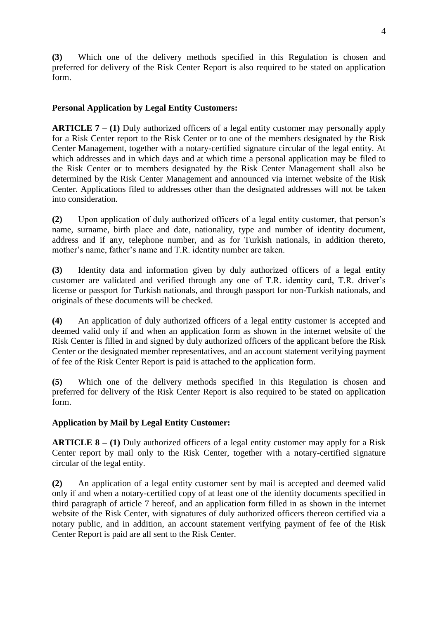**(3)** Which one of the delivery methods specified in this Regulation is chosen and preferred for delivery of the Risk Center Report is also required to be stated on application form.

# **Personal Application by Legal Entity Customers:**

**ARTICLE 7 – (1)** Duly authorized officers of a legal entity customer may personally apply for a Risk Center report to the Risk Center or to one of the members designated by the Risk Center Management, together with a notary-certified signature circular of the legal entity. At which addresses and in which days and at which time a personal application may be filed to the Risk Center or to members designated by the Risk Center Management shall also be determined by the Risk Center Management and announced via internet website of the Risk Center. Applications filed to addresses other than the designated addresses will not be taken into consideration.

**(2)** Upon application of duly authorized officers of a legal entity customer, that person's name, surname, birth place and date, nationality, type and number of identity document, address and if any, telephone number, and as for Turkish nationals, in addition thereto, mother's name, father's name and T.R. identity number are taken.

**(3)** Identity data and information given by duly authorized officers of a legal entity customer are validated and verified through any one of T.R. identity card, T.R. driver's license or passport for Turkish nationals, and through passport for non-Turkish nationals, and originals of these documents will be checked.

**(4)** An application of duly authorized officers of a legal entity customer is accepted and deemed valid only if and when an application form as shown in the internet website of the Risk Center is filled in and signed by duly authorized officers of the applicant before the Risk Center or the designated member representatives, and an account statement verifying payment of fee of the Risk Center Report is paid is attached to the application form.

**(5)** Which one of the delivery methods specified in this Regulation is chosen and preferred for delivery of the Risk Center Report is also required to be stated on application form.

# **Application by Mail by Legal Entity Customer:**

**ARTICLE 8 – (1)** Duly authorized officers of a legal entity customer may apply for a Risk Center report by mail only to the Risk Center, together with a notary-certified signature circular of the legal entity.

**(2)** An application of a legal entity customer sent by mail is accepted and deemed valid only if and when a notary-certified copy of at least one of the identity documents specified in third paragraph of article 7 hereof, and an application form filled in as shown in the internet website of the Risk Center, with signatures of duly authorized officers thereon certified via a notary public, and in addition, an account statement verifying payment of fee of the Risk Center Report is paid are all sent to the Risk Center.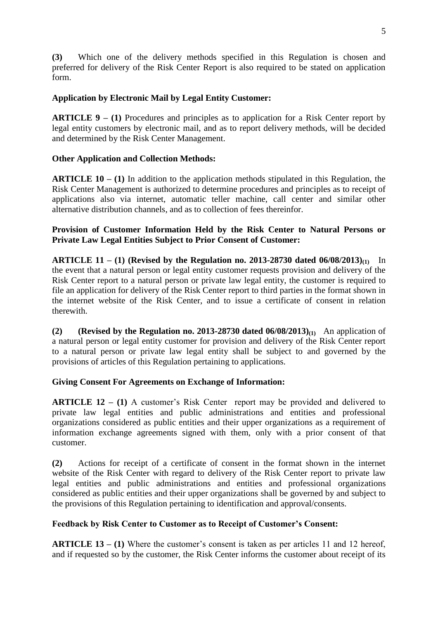**(3)** Which one of the delivery methods specified in this Regulation is chosen and preferred for delivery of the Risk Center Report is also required to be stated on application form.

## **Application by Electronic Mail by Legal Entity Customer:**

**ARTICLE 9 – (1)** Procedures and principles as to application for a Risk Center report by legal entity customers by electronic mail, and as to report delivery methods, will be decided and determined by the Risk Center Management.

### **Other Application and Collection Methods:**

**ARTICLE 10 – (1)** In addition to the application methods stipulated in this Regulation, the Risk Center Management is authorized to determine procedures and principles as to receipt of applications also via internet, automatic teller machine, call center and similar other alternative distribution channels, and as to collection of fees thereinfor.

## **Provision of Customer Information Held by the Risk Center to Natural Persons or Private Law Legal Entities Subject to Prior Consent of Customer:**

**ARTICLE 11 – (1) (Revised by the Regulation no. 2013-28730 dated 06/08/2013)(1)** In the event that a natural person or legal entity customer requests provision and delivery of the Risk Center report to a natural person or private law legal entity, the customer is required to file an application for delivery of the Risk Center report to third parties in the format shown in the internet website of the Risk Center, and to issue a certificate of consent in relation therewith.

**(2) (Revised by the Regulation no. 2013-28730 dated**  $06/08/2013$ **<sub>(1)</sub>** An application of a natural person or legal entity customer for provision and delivery of the Risk Center report to a natural person or private law legal entity shall be subject to and governed by the provisions of articles of this Regulation pertaining to applications.

### **Giving Consent For Agreements on Exchange of Information:**

**ARTICLE 12 – (1)** A customer's Risk Center report may be provided and delivered to private law legal entities and public administrations and entities and professional organizations considered as public entities and their upper organizations as a requirement of information exchange agreements signed with them, only with a prior consent of that customer.

**(2)** Actions for receipt of a certificate of consent in the format shown in the internet website of the Risk Center with regard to delivery of the Risk Center report to private law legal entities and public administrations and entities and professional organizations considered as public entities and their upper organizations shall be governed by and subject to the provisions of this Regulation pertaining to identification and approval/consents.

### **Feedback by Risk Center to Customer as to Receipt of Customer's Consent:**

**ARTICLE 13 – (1)** Where the customer's consent is taken as per articles 11 and 12 hereof, and if requested so by the customer, the Risk Center informs the customer about receipt of its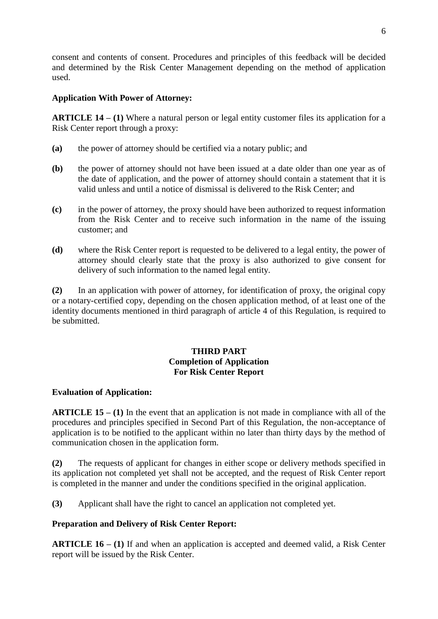consent and contents of consent. Procedures and principles of this feedback will be decided and determined by the Risk Center Management depending on the method of application used.

### **Application With Power of Attorney:**

**ARTICLE 14 – (1)** Where a natural person or legal entity customer files its application for a Risk Center report through a proxy:

- **(a)** the power of attorney should be certified via a notary public; and
- **(b)** the power of attorney should not have been issued at a date older than one year as of the date of application, and the power of attorney should contain a statement that it is valid unless and until a notice of dismissal is delivered to the Risk Center; and
- **(c)** in the power of attorney, the proxy should have been authorized to request information from the Risk Center and to receive such information in the name of the issuing customer; and
- **(d)** where the Risk Center report is requested to be delivered to a legal entity, the power of attorney should clearly state that the proxy is also authorized to give consent for delivery of such information to the named legal entity.

**(2)** In an application with power of attorney, for identification of proxy, the original copy or a notary-certified copy, depending on the chosen application method, of at least one of the identity documents mentioned in third paragraph of article 4 of this Regulation, is required to be submitted.

# **THIRD PART Completion of Application For Risk Center Report**

### **Evaluation of Application:**

**ARTICLE 15 – (1)** In the event that an application is not made in compliance with all of the procedures and principles specified in Second Part of this Regulation, the non-acceptance of application is to be notified to the applicant within no later than thirty days by the method of communication chosen in the application form.

**(2)** The requests of applicant for changes in either scope or delivery methods specified in its application not completed yet shall not be accepted, and the request of Risk Center report is completed in the manner and under the conditions specified in the original application.

**(3)** Applicant shall have the right to cancel an application not completed yet.

# **Preparation and Delivery of Risk Center Report:**

**ARTICLE 16 – (1)** If and when an application is accepted and deemed valid, a Risk Center report will be issued by the Risk Center.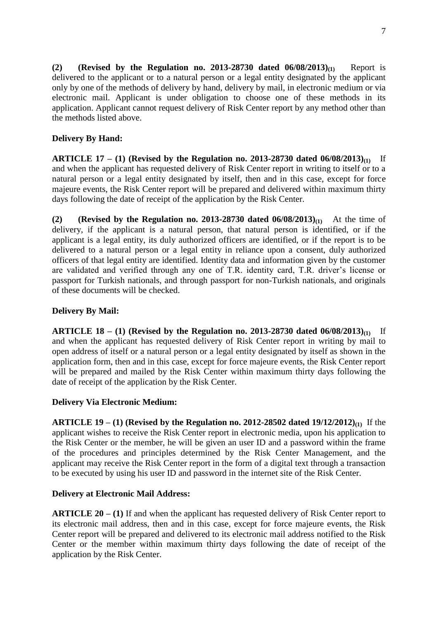**(2) (Revised by the Regulation no. 2013-28730 dated 06/08/2013)(1)** Report is delivered to the applicant or to a natural person or a legal entity designated by the applicant only by one of the methods of delivery by hand, delivery by mail, in electronic medium or via electronic mail. Applicant is under obligation to choose one of these methods in its application. Applicant cannot request delivery of Risk Center report by any method other than the methods listed above.

# **Delivery By Hand:**

**ARTICLE 17 – (1) (Revised by the Regulation no. 2013-28730 dated 06/08/2013)(1)** If and when the applicant has requested delivery of Risk Center report in writing to itself or to a natural person or a legal entity designated by itself, then and in this case, except for force majeure events, the Risk Center report will be prepared and delivered within maximum thirty days following the date of receipt of the application by the Risk Center.

**(2) (Revised by the Regulation no. 2013-28730 dated**  $06/08/2013$ **<sub>(1)</sub>** At the time of delivery, if the applicant is a natural person, that natural person is identified, or if the applicant is a legal entity, its duly authorized officers are identified, or if the report is to be delivered to a natural person or a legal entity in reliance upon a consent, duly authorized officers of that legal entity are identified. Identity data and information given by the customer are validated and verified through any one of T.R. identity card, T.R. driver's license or passport for Turkish nationals, and through passport for non-Turkish nationals, and originals of these documents will be checked.

# **Delivery By Mail:**

**ARTICLE 18 – (1) (Revised by the Regulation no. 2013-28730 dated 06/08/2013)(1)** If and when the applicant has requested delivery of Risk Center report in writing by mail to open address of itself or a natural person or a legal entity designated by itself as shown in the application form, then and in this case, except for force majeure events, the Risk Center report will be prepared and mailed by the Risk Center within maximum thirty days following the date of receipt of the application by the Risk Center.

# **Delivery Via Electronic Medium:**

**ARTICLE 19 – (1) (Revised by the Regulation no. 2012-28502 dated 19/12/2012)(1)** If the applicant wishes to receive the Risk Center report in electronic media, upon his application to the Risk Center or the member, he will be given an user ID and a password within the frame of the procedures and principles determined by the Risk Center Management, and the applicant may receive the Risk Center report in the form of a digital text through a transaction to be executed by using his user ID and password in the internet site of the Risk Center.

# **Delivery at Electronic Mail Address:**

**ARTICLE 20 – (1)** If and when the applicant has requested delivery of Risk Center report to its electronic mail address, then and in this case, except for force majeure events, the Risk Center report will be prepared and delivered to its electronic mail address notified to the Risk Center or the member within maximum thirty days following the date of receipt of the application by the Risk Center.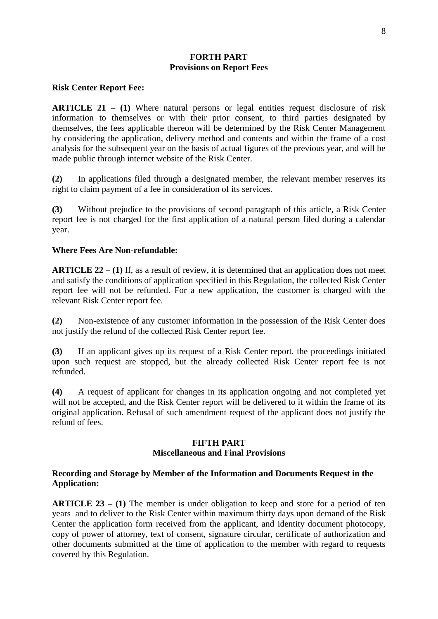### **FORTH PART Provisions on Report Fees**

#### **Risk Center Report Fee:**

**ARTICLE 21 – (1)** Where natural persons or legal entities request disclosure of risk information to themselves or with their prior consent, to third parties designated by themselves, the fees applicable thereon will be determined by the Risk Center Management by considering the application, delivery method and contents and within the frame of a cost analysis for the subsequent year on the basis of actual figures of the previous year, and will be made public through internet website of the Risk Center.

**(2)** In applications filed through a designated member, the relevant member reserves its right to claim payment of a fee in consideration of its services.

**(3)** Without prejudice to the provisions of second paragraph of this article, a Risk Center report fee is not charged for the first application of a natural person filed during a calendar year.

#### **Where Fees Are Non-refundable:**

**ARTICLE 22 – (1)** If, as a result of review, it is determined that an application does not meet and satisfy the conditions of application specified in this Regulation, the collected Risk Center report fee will not be refunded. For a new application, the customer is charged with the relevant Risk Center report fee.

**(2)** Non-existence of any customer information in the possession of the Risk Center does not justify the refund of the collected Risk Center report fee.

**(3)** If an applicant gives up its request of a Risk Center report, the proceedings initiated upon such request are stopped, but the already collected Risk Center report fee is not refunded.

**(4)** A request of applicant for changes in its application ongoing and not completed yet will not be accepted, and the Risk Center report will be delivered to it within the frame of its original application. Refusal of such amendment request of the applicant does not justify the refund of fees.

#### **FIFTH PART Miscellaneous and Final Provisions**

#### **Recording and Storage by Member of the Information and Documents Request in the Application:**

**ARTICLE 23 – (1)** The member is under obligation to keep and store for a period of ten years and to deliver to the Risk Center within maximum thirty days upon demand of the Risk Center the application form received from the applicant, and identity document photocopy, copy of power of attorney, text of consent, signature circular, certificate of authorization and other documents submitted at the time of application to the member with regard to requests covered by this Regulation.